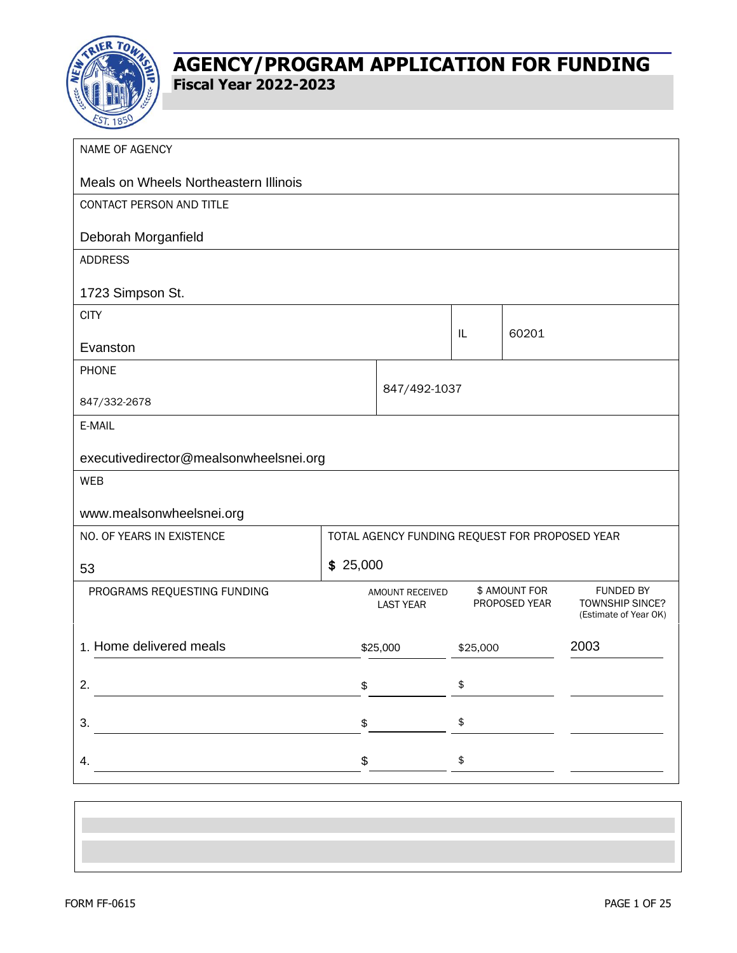

| NAME OF AGENCY                         |          |                                                |            |                                |                                                              |  |
|----------------------------------------|----------|------------------------------------------------|------------|--------------------------------|--------------------------------------------------------------|--|
| Meals on Wheels Northeastern Illinois  |          |                                                |            |                                |                                                              |  |
| CONTACT PERSON AND TITLE               |          |                                                |            |                                |                                                              |  |
| Deborah Morganfield                    |          |                                                |            |                                |                                                              |  |
| <b>ADDRESS</b>                         |          |                                                |            |                                |                                                              |  |
| 1723 Simpson St.                       |          |                                                |            |                                |                                                              |  |
| <b>CITY</b>                            |          |                                                |            |                                |                                                              |  |
| Evanston                               |          |                                                | IL         | 60201                          |                                                              |  |
| <b>PHONE</b>                           |          |                                                |            |                                |                                                              |  |
| 847/332-2678                           |          | 847/492-1037                                   |            |                                |                                                              |  |
| E-MAIL                                 |          |                                                |            |                                |                                                              |  |
| executivedirector@mealsonwheelsnei.org |          |                                                |            |                                |                                                              |  |
| <b>WEB</b>                             |          |                                                |            |                                |                                                              |  |
| www.mealsonwheelsnei.org               |          |                                                |            |                                |                                                              |  |
| NO. OF YEARS IN EXISTENCE              |          | TOTAL AGENCY FUNDING REQUEST FOR PROPOSED YEAR |            |                                |                                                              |  |
| 53                                     | \$25,000 |                                                |            |                                |                                                              |  |
| PROGRAMS REQUESTING FUNDING            |          | AMOUNT RECEIVED<br><b>LAST YEAR</b>            |            | \$ AMOUNT FOR<br>PROPOSED YEAR | <b>FUNDED BY</b><br>TOWNSHIP SINCE?<br>(Estimate of Year OK) |  |
| 1. Home delivered meals                |          | \$25,000                                       | \$25,000   |                                | 2003                                                         |  |
| 2.                                     | \$       |                                                | \$         |                                |                                                              |  |
| 3.                                     | \$       |                                                | \$         |                                |                                                              |  |
| 4.                                     | \$       |                                                | $\pmb{\$}$ |                                |                                                              |  |
|                                        |          |                                                |            |                                |                                                              |  |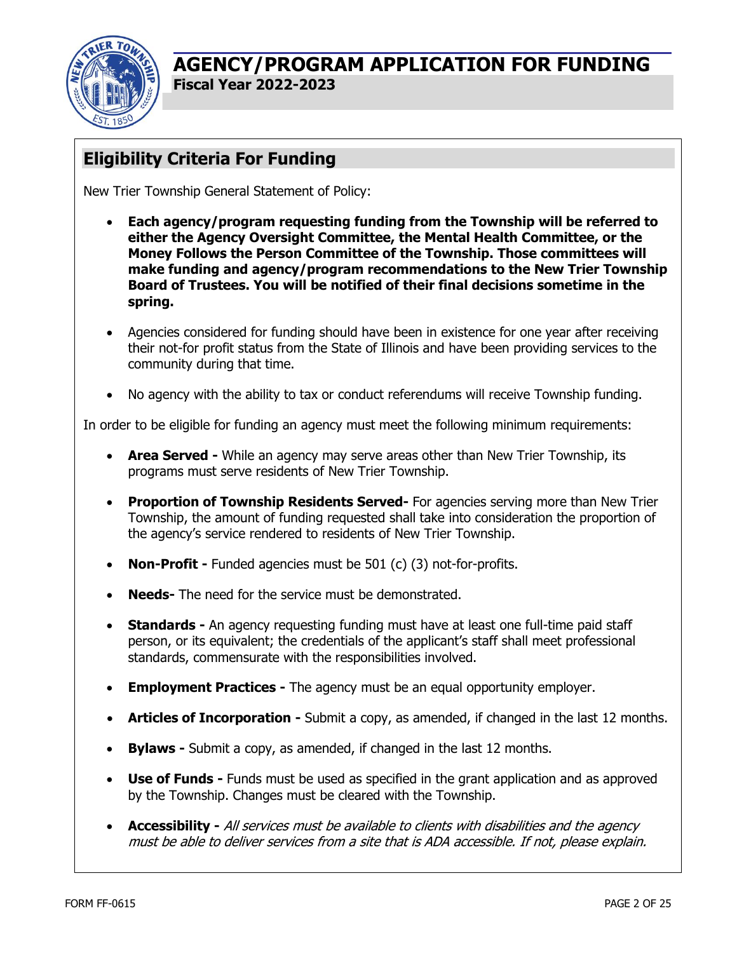

# **Eligibility Criteria For Funding**

New Trier Township General Statement of Policy:

- **Each agency/program requesting funding from the Township will be referred to either the Agency Oversight Committee, the Mental Health Committee, or the Money Follows the Person Committee of the Township. Those committees will make funding and agency/program recommendations to the New Trier Township Board of Trustees. You will be notified of their final decisions sometime in the spring.**
- Agencies considered for funding should have been in existence for one year after receiving their not-for profit status from the State of Illinois and have been providing services to the community during that time.
- No agency with the ability to tax or conduct referendums will receive Township funding.

In order to be eligible for funding an agency must meet the following minimum requirements:

- **Area Served** While an agency may serve areas other than New Trier Township, its programs must serve residents of New Trier Township.
- **Proportion of Township Residents Served-** For agencies serving more than New Trier Township, the amount of funding requested shall take into consideration the proportion of the agency's service rendered to residents of New Trier Township.
- **Non-Profit -** Funded agencies must be 501 (c) (3) not-for-profits.
- **Needs-** The need for the service must be demonstrated.
- **Standards -** An agency requesting funding must have at least one full-time paid staff person, or its equivalent; the credentials of the applicant's staff shall meet professional standards, commensurate with the responsibilities involved.
- **Employment Practices -** The agency must be an equal opportunity employer.
- **Articles of Incorporation -** Submit a copy, as amended, if changed in the last 12 months.
- **Bylaws -** Submit a copy, as amended, if changed in the last 12 months.
- **Use of Funds -** Funds must be used as specified in the grant application and as approved by the Township. Changes must be cleared with the Township.
- **Accessibility -** All services must be available to clients with disabilities and the agency must be able to deliver services from a site that is ADA accessible. If not, please explain.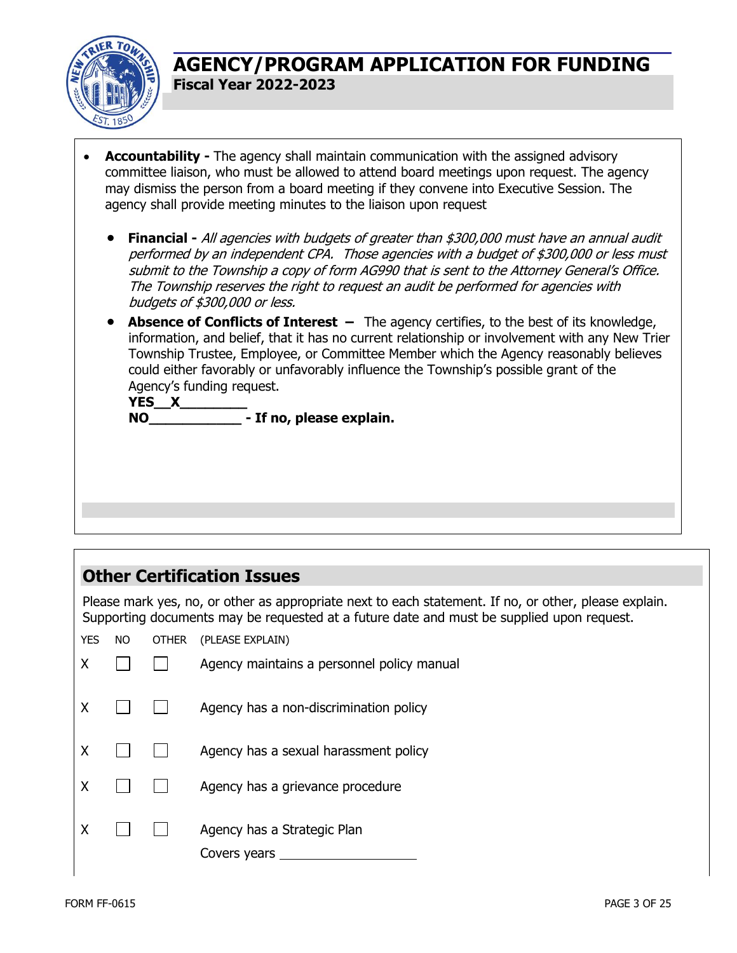

- **Accountability -** The agency shall maintain communication with the assigned advisory committee liaison, who must be allowed to attend board meetings upon request. The agency may dismiss the person from a board meeting if they convene into Executive Session. The agency shall provide meeting minutes to the liaison upon request
	- **Financial -** All agencies with budgets of greater than \$300,000 must have an annual audit performed by an independent CPA. Those agencies with a budget of \$300,000 or less must submit to the Township a copy of form AG990 that is sent to the Attorney General's Office. The Township reserves the right to request an audit be performed for agencies with budgets of \$300,000 or less.
	- **Absence of Conflicts of Interest** The agency certifies, to the best of its knowledge, information, and belief, that it has no current relationship or involvement with any New Trier Township Trustee, Employee, or Committee Member which the Agency reasonably believes could either favorably or unfavorably influence the Township's possible grant of the Agency's funding request.

**YES\_\_X\_\_\_\_\_\_\_\_ NO\_\_\_\_\_\_\_\_\_\_\_ - If no, please explain.**

# **Other Certification Issues**

Please mark yes, no, or other as appropriate next to each statement. If no, or other, please explain. Supporting documents may be requested at a future date and must be supplied upon request.

| <b>YES</b> | NO. | <b>OTHER</b> | (PLEASE EXPLAIN)                            |
|------------|-----|--------------|---------------------------------------------|
| Χ          |     |              | Agency maintains a personnel policy manual  |
| χ          |     |              | Agency has a non-discrimination policy      |
| χ          |     |              | Agency has a sexual harassment policy       |
| χ          |     |              | Agency has a grievance procedure            |
|            |     |              | Agency has a Strategic Plan<br>Covers years |
|            |     |              |                                             |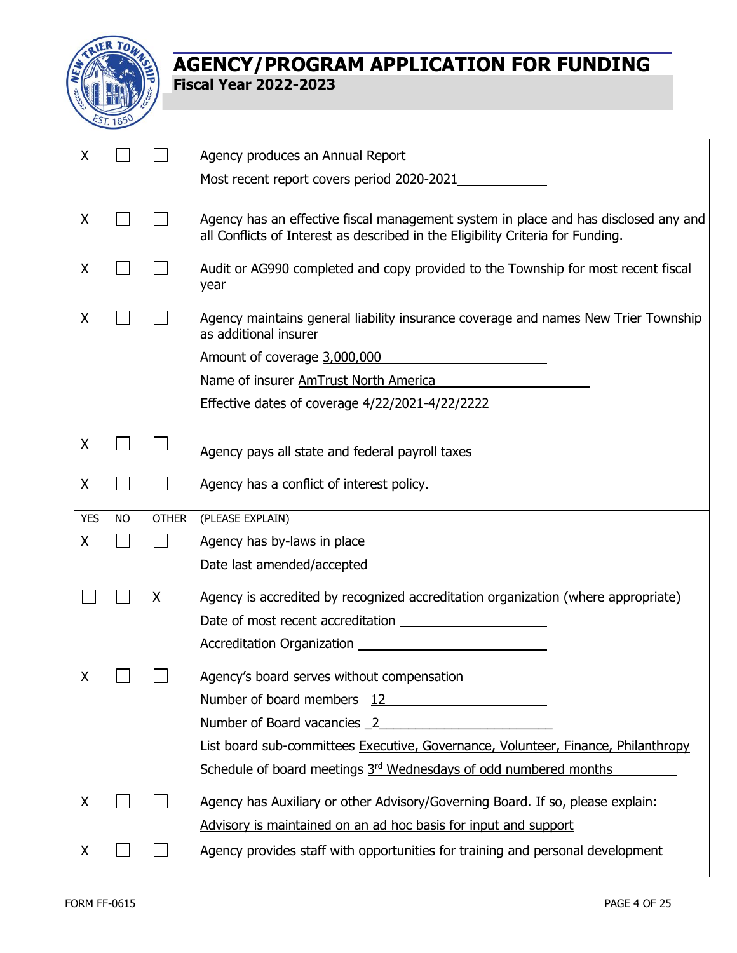

| X          |           |              | Agency produces an Annual Report                                                                                                                                       |
|------------|-----------|--------------|------------------------------------------------------------------------------------------------------------------------------------------------------------------------|
|            |           |              | Most recent report covers period 2020-2021                                                                                                                             |
|            |           |              |                                                                                                                                                                        |
| X          |           |              | Agency has an effective fiscal management system in place and has disclosed any and<br>all Conflicts of Interest as described in the Eligibility Criteria for Funding. |
| X          |           |              | Audit or AG990 completed and copy provided to the Township for most recent fiscal<br>year                                                                              |
| X          |           |              | Agency maintains general liability insurance coverage and names New Trier Township<br>as additional insurer                                                            |
|            |           |              | Amount of coverage 3,000,000<br><u> 1989 - Jan Stein Stein Stein Stein Stein Stein Stein Stein Stein Stein Stein Stein Stein Stein Stein Stein St</u>                  |
|            |           |              | Name of insurer AmTrust North America                                                                                                                                  |
|            |           |              | Effective dates of coverage 4/22/2021-4/22/2222                                                                                                                        |
|            |           |              |                                                                                                                                                                        |
| X          |           |              | Agency pays all state and federal payroll taxes                                                                                                                        |
| X          |           |              | Agency has a conflict of interest policy.                                                                                                                              |
|            |           |              |                                                                                                                                                                        |
| <b>YES</b> | <b>NO</b> | <b>OTHER</b> | (PLEASE EXPLAIN)                                                                                                                                                       |
| X          |           |              | Agency has by-laws in place                                                                                                                                            |
|            |           |              |                                                                                                                                                                        |
|            |           | X            |                                                                                                                                                                        |
|            |           |              | Agency is accredited by recognized accreditation organization (where appropriate)                                                                                      |
|            |           |              | <b>Accreditation Organization</b>                                                                                                                                      |
|            |           |              |                                                                                                                                                                        |
| Χ          |           |              | Agency's board serves without compensation                                                                                                                             |
|            |           |              | Number of board members 12                                                                                                                                             |
|            |           |              |                                                                                                                                                                        |
|            |           |              | List board sub-committees Executive, Governance, Volunteer, Finance, Philanthropy                                                                                      |
|            |           |              | Schedule of board meetings 3 <sup>rd</sup> Wednesdays of odd numbered months                                                                                           |
| X          |           |              | Agency has Auxiliary or other Advisory/Governing Board. If so, please explain:                                                                                         |
|            |           |              | Advisory is maintained on an ad hoc basis for input and support                                                                                                        |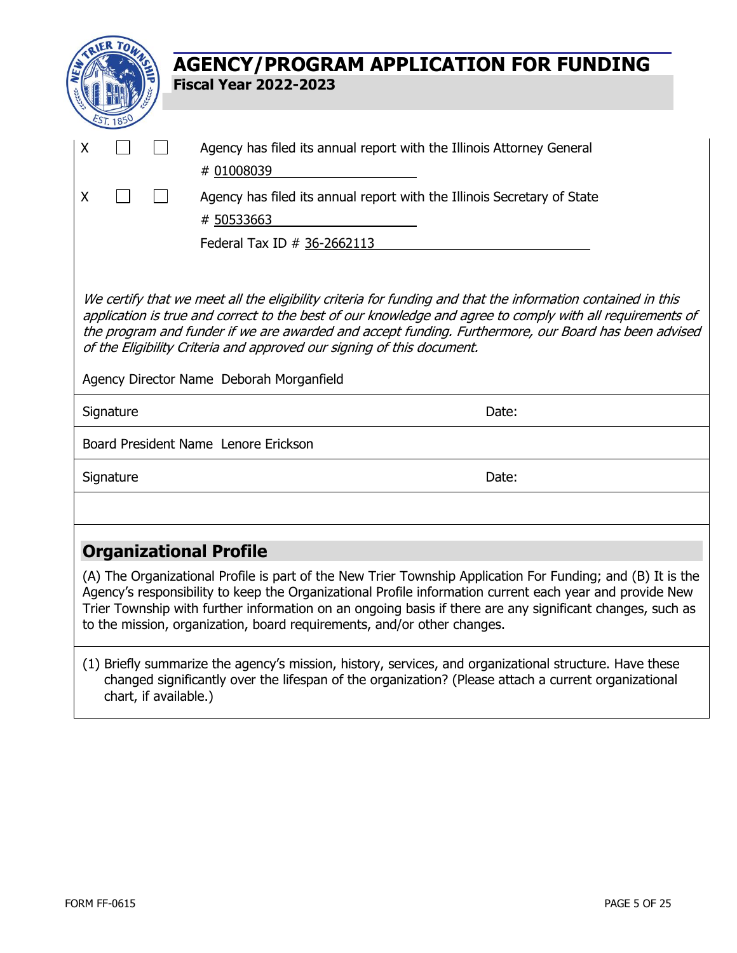|           | <b>AGENCY/PROGRAM APPLICATION FOR FUNDING</b><br><b>Fiscal Year 2022-2023</b>                                                                                                                                                                                                                                                                                                                                                                          |
|-----------|--------------------------------------------------------------------------------------------------------------------------------------------------------------------------------------------------------------------------------------------------------------------------------------------------------------------------------------------------------------------------------------------------------------------------------------------------------|
| X         | Agency has filed its annual report with the Illinois Attorney General<br># 01008039                                                                                                                                                                                                                                                                                                                                                                    |
| X         | Agency has filed its annual report with the Illinois Secretary of State<br># 50533663<br>Federal Tax ID # 36-2662113                                                                                                                                                                                                                                                                                                                                   |
|           | We certify that we meet all the eligibility criteria for funding and that the information contained in this<br>application is true and correct to the best of our knowledge and agree to comply with all requirements of<br>the program and funder if we are awarded and accept funding. Furthermore, our Board has been advised<br>of the Eligibility Criteria and approved our signing of this document.<br>Agency Director Name Deborah Morganfield |
| Signature | Date:                                                                                                                                                                                                                                                                                                                                                                                                                                                  |
|           | Board President Name Lenore Erickson                                                                                                                                                                                                                                                                                                                                                                                                                   |
| Signature | Date:                                                                                                                                                                                                                                                                                                                                                                                                                                                  |
|           |                                                                                                                                                                                                                                                                                                                                                                                                                                                        |
|           | <b>Organizational Profile</b>                                                                                                                                                                                                                                                                                                                                                                                                                          |
|           | (A) The Organizational Profile is part of the New Trier Township Application For Funding; and (B) It is the<br>Agency's responsibility to keep the Organizational Profile information current each year and provide New<br>Trier Township with further information on an ongoing basis if there are any significant changes, such as<br>to the mission, organization, board requirements, and/or other changes.                                        |
|           | (1) Briefly summarize the agency's mission, history, services, and organizational structure. Have these<br>changed significantly over the lifespan of the organization? (Please attach a current organizational                                                                                                                                                                                                                                        |

chart, if available.)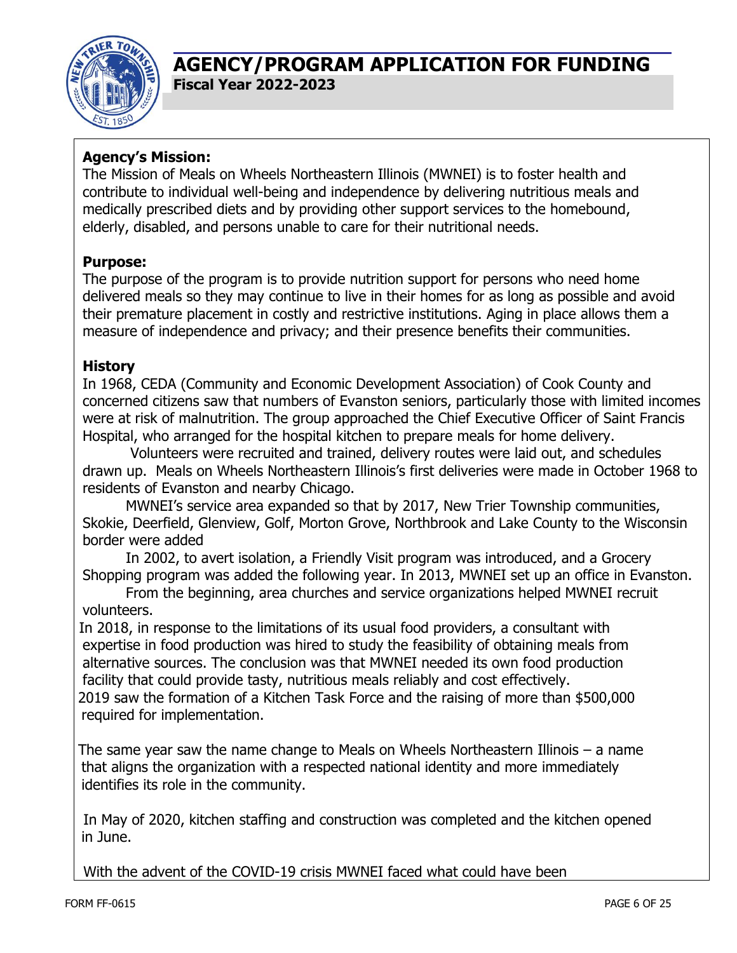

### **Agency's Mission:**

The Mission of Meals on Wheels Northeastern Illinois (MWNEI) is to foster health and contribute to individual well-being and independence by delivering nutritious meals and medically prescribed diets and by providing other support services to the homebound, elderly, disabled, and persons unable to care for their nutritional needs.

#### **Purpose:**

The purpose of the program is to provide nutrition support for persons who need home delivered meals so they may continue to live in their homes for as long as possible and avoid their premature placement in costly and restrictive institutions. Aging in place allows them a measure of independence and privacy; and their presence benefits their communities.

#### **History**

In 1968, CEDA (Community and Economic Development Association) of Cook County and concerned citizens saw that numbers of Evanston seniors, particularly those with limited incomes were at risk of malnutrition. The group approached the Chief Executive Officer of Saint Francis Hospital, who arranged for the hospital kitchen to prepare meals for home delivery.

Volunteers were recruited and trained, delivery routes were laid out, and schedules drawn up. Meals on Wheels Northeastern Illinois's first deliveries were made in October 1968 to residents of Evanston and nearby Chicago.

MWNEI's service area expanded so that by 2017, New Trier Township communities, Skokie, Deerfield, Glenview, Golf, Morton Grove, Northbrook and Lake County to the Wisconsin border were added

In 2002, to avert isolation, a Friendly Visit program was introduced, and a Grocery Shopping program was added the following year. In 2013, MWNEI set up an office in Evanston.

From the beginning, area churches and service organizations helped MWNEI recruit volunteers.

In 2018, in response to the limitations of its usual food providers, a consultant with expertise in food production was hired to study the feasibility of obtaining meals from alternative sources. The conclusion was that MWNEI needed its own food production facility that could provide tasty, nutritious meals reliably and cost effectively. 2019 saw the formation of a Kitchen Task Force and the raising of more than \$500,000

required for implementation.

The same year saw the name change to Meals on Wheels Northeastern Illinois – a name that aligns the organization with a respected national identity and more immediately identifies its role in the community.

In May of 2020, kitchen staffing and construction was completed and the kitchen opened in June.

With the advent of the COVID-19 crisis MWNEI faced what could have been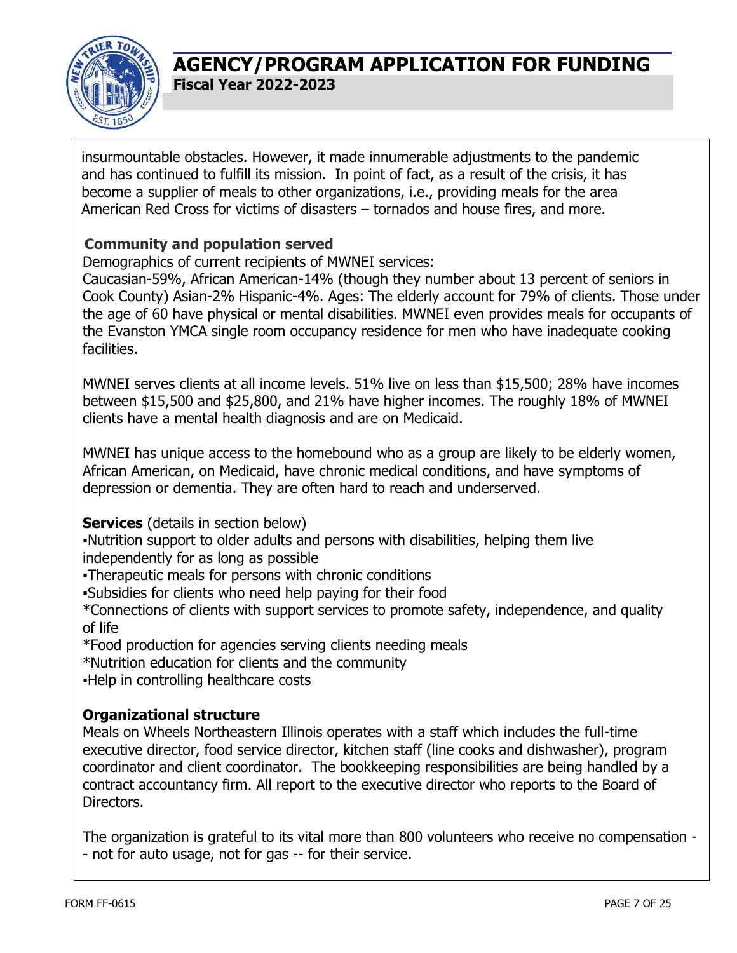

insurmountable obstacles. However, it made innumerable adjustments to the pandemic and has continued to fulfill its mission. In point of fact, as a result of the crisis, it has become a supplier of meals to other organizations, i.e., providing meals for the area American Red Cross for victims of disasters – tornados and house fires, and more.

#### **Community and population served**

Demographics of current recipients of MWNEI services:

Caucasian-59%, African American-14% (though they number about 13 percent of seniors in Cook County) Asian-2% Hispanic-4%. Ages: The elderly account for 79% of clients. Those under the age of 60 have physical or mental disabilities. MWNEI even provides meals for occupants of the Evanston YMCA single room occupancy residence for men who have inadequate cooking facilities.

MWNEI serves clients at all income levels. 51% live on less than \$15,500; 28% have incomes between \$15,500 and \$25,800, and 21% have higher incomes. The roughly 18% of MWNEI clients have a mental health diagnosis and are on Medicaid.

MWNEI has unique access to the homebound who as a group are likely to be elderly women, African American, on Medicaid, have chronic medical conditions, and have symptoms of depression or dementia. They are often hard to reach and underserved.

**Services** (details in section below)

▪Nutrition support to older adults and persons with disabilities, helping them live independently for as long as possible

▪Therapeutic meals for persons with chronic conditions

▪Subsidies for clients who need help paying for their food

\*Connections of clients with support services to promote safety, independence, and quality of life

\*Food production for agencies serving clients needing meals

\*Nutrition education for clients and the community

▪Help in controlling healthcare costs

#### **Organizational structure**

Meals on Wheels Northeastern Illinois operates with a staff which includes the full-time executive director, food service director, kitchen staff (line cooks and dishwasher), program coordinator and client coordinator. The bookkeeping responsibilities are being handled by a contract accountancy firm. All report to the executive director who reports to the Board of Directors.

The organization is grateful to its vital more than 800 volunteers who receive no compensation - - not for auto usage, not for gas -- for their service.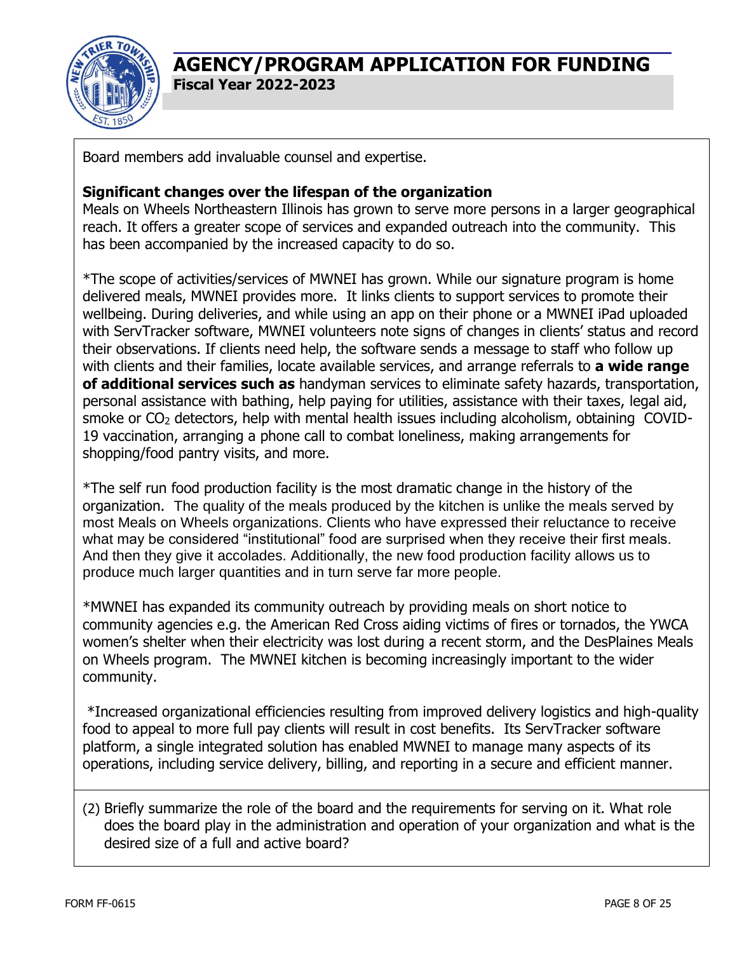

Board members add invaluable counsel and expertise.

#### **Significant changes over the lifespan of the organization**

Meals on Wheels Northeastern Illinois has grown to serve more persons in a larger geographical reach. It offers a greater scope of services and expanded outreach into the community. This has been accompanied by the increased capacity to do so.

\*The scope of activities/services of MWNEI has grown. While our signature program is home delivered meals, MWNEI provides more. It links clients to support services to promote their wellbeing. During deliveries, and while using an app on their phone or a MWNEI iPad uploaded with ServTracker software, MWNEI volunteers note signs of changes in clients' status and record their observations. If clients need help, the software sends a message to staff who follow up with clients and their families, locate available services, and arrange referrals to **a wide range of additional services such as** handyman services to eliminate safety hazards, transportation, personal assistance with bathing, help paying for utilities, assistance with their taxes, legal aid, smoke or CO<sub>2</sub> detectors, help with mental health issues including alcoholism, obtaining COVID-19 vaccination, arranging a phone call to combat loneliness, making arrangements for shopping/food pantry visits, and more.

\*The self run food production facility is the most dramatic change in the history of the organization. The quality of the meals produced by the kitchen is unlike the meals served by most Meals on Wheels organizations. Clients who have expressed their reluctance to receive what may be considered "institutional" food are surprised when they receive their first meals. And then they give it accolades. Additionally, the new food production facility allows us to produce much larger quantities and in turn serve far more people.

\*MWNEI has expanded its community outreach by providing meals on short notice to community agencies e.g. the American Red Cross aiding victims of fires or tornados, the YWCA women's shelter when their electricity was lost during a recent storm, and the DesPlaines Meals on Wheels program. The MWNEI kitchen is becoming increasingly important to the wider community.

\*Increased organizational efficiencies resulting from improved delivery logistics and high-quality food to appeal to more full pay clients will result in cost benefits. Its ServTracker software platform, a single integrated solution has enabled MWNEI to manage many aspects of its operations, including service delivery, billing, and reporting in a secure and efficient manner.

(2) Briefly summarize the role of the board and the requirements for serving on it. What role does the board play in the administration and operation of your organization and what is the desired size of a full and active board?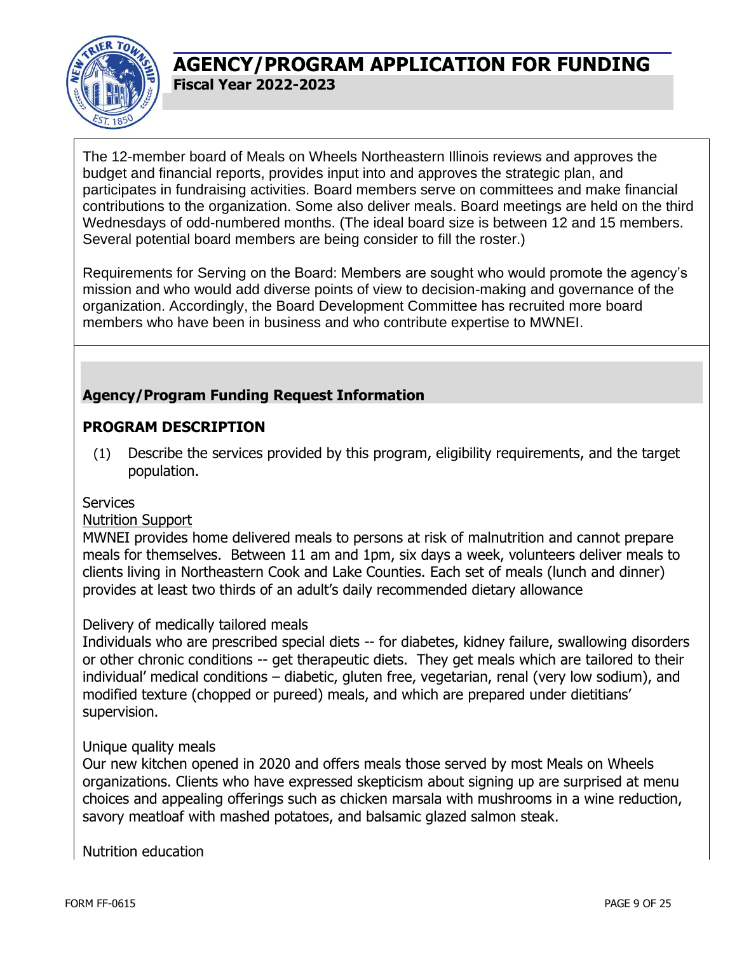

The 12-member board of Meals on Wheels Northeastern Illinois reviews and approves the budget and financial reports, provides input into and approves the strategic plan, and participates in fundraising activities. Board members serve on committees and make financial contributions to the organization. Some also deliver meals. Board meetings are held on the third Wednesdays of odd-numbered months. (The ideal board size is between 12 and 15 members. Several potential board members are being consider to fill the roster.)

Requirements for Serving on the Board: Members are sought who would promote the agency's mission and who would add diverse points of view to decision-making and governance of the organization. Accordingly, the Board Development Committee has recruited more board members who have been in business and who contribute expertise to MWNEI.

### **Agency/Program Funding Request Information**

#### **PROGRAM DESCRIPTION**

(1) Describe the services provided by this program, eligibility requirements, and the target population.

#### **Services**

#### Nutrition Support

MWNEI provides home delivered meals to persons at risk of malnutrition and cannot prepare meals for themselves. Between 11 am and 1pm, six days a week, volunteers deliver meals to clients living in Northeastern Cook and Lake Counties. Each set of meals (lunch and dinner) provides at least two thirds of an adult's daily recommended dietary allowance

#### Delivery of medically tailored meals

Individuals who are prescribed special diets -- for diabetes, kidney failure, swallowing disorders or other chronic conditions -- get therapeutic diets. They get meals which are tailored to their individual' medical conditions – diabetic, gluten free, vegetarian, renal (very low sodium), and modified texture (chopped or pureed) meals, and which are prepared under dietitians' supervision.

#### Unique quality meals

Our new kitchen opened in 2020 and offers meals those served by most Meals on Wheels organizations. Clients who have expressed skepticism about signing up are surprised at menu choices and appealing offerings such as chicken marsala with mushrooms in a wine reduction, savory meatloaf with mashed potatoes, and balsamic glazed salmon steak.

Nutrition education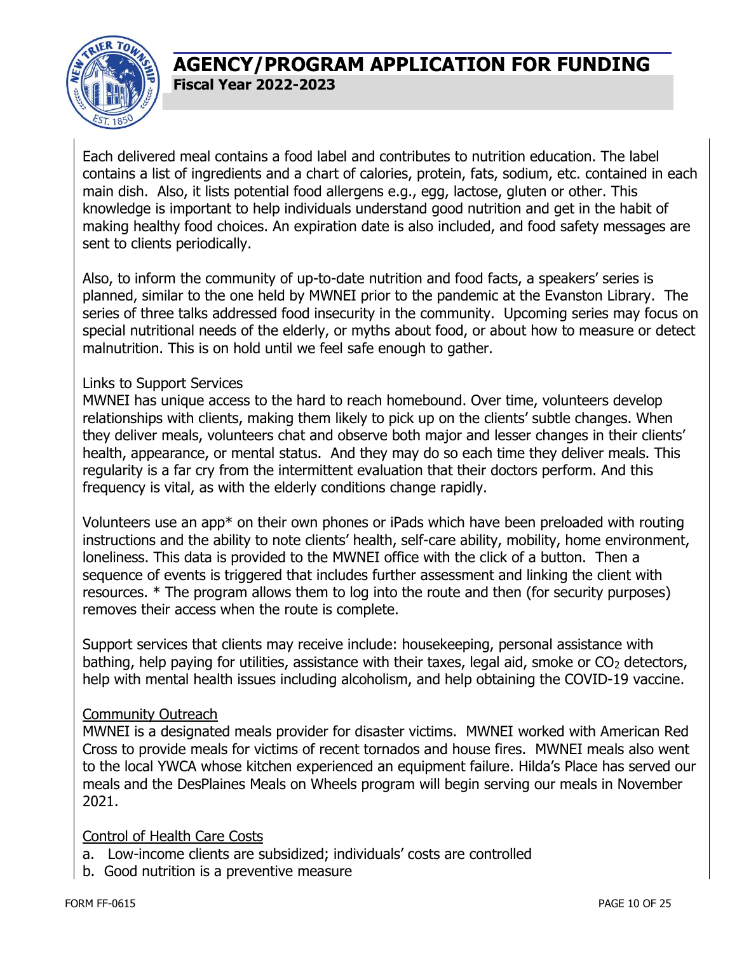

Each delivered meal contains a food label and contributes to nutrition education. The label contains a list of ingredients and a chart of calories, protein, fats, sodium, etc. contained in each main dish. Also, it lists potential food allergens e.g., egg, lactose, gluten or other. This knowledge is important to help individuals understand good nutrition and get in the habit of making healthy food choices. An expiration date is also included, and food safety messages are sent to clients periodically.

Also, to inform the community of up-to-date nutrition and food facts, a speakers' series is planned, similar to the one held by MWNEI prior to the pandemic at the Evanston Library. The series of three talks addressed food insecurity in the community. Upcoming series may focus on special nutritional needs of the elderly, or myths about food, or about how to measure or detect malnutrition. This is on hold until we feel safe enough to gather.

#### Links to Support Services

MWNEI has unique access to the hard to reach homebound. Over time, volunteers develop relationships with clients, making them likely to pick up on the clients' subtle changes. When they deliver meals, volunteers chat and observe both major and lesser changes in their clients' health, appearance, or mental status. And they may do so each time they deliver meals. This regularity is a far cry from the intermittent evaluation that their doctors perform. And this frequency is vital, as with the elderly conditions change rapidly.

Volunteers use an app\* on their own phones or iPads which have been preloaded with routing instructions and the ability to note clients' health, self-care ability, mobility, home environment, loneliness. This data is provided to the MWNEI office with the click of a button. Then a sequence of events is triggered that includes further assessment and linking the client with resources. \* The program allows them to log into the route and then (for security purposes) removes their access when the route is complete.

Support services that clients may receive include: housekeeping, personal assistance with bathing, help paying for utilities, assistance with their taxes, legal aid, smoke or  $CO<sub>2</sub>$  detectors, help with mental health issues including alcoholism, and help obtaining the COVID-19 vaccine.

#### Community Outreach

MWNEI is a designated meals provider for disaster victims. MWNEI worked with American Red Cross to provide meals for victims of recent tornados and house fires. MWNEI meals also went to the local YWCA whose kitchen experienced an equipment failure. Hilda's Place has served our meals and the DesPlaines Meals on Wheels program will begin serving our meals in November 2021.

#### Control of Health Care Costs

- a. Low-income clients are subsidized; individuals' costs are controlled
- b. Good nutrition is a preventive measure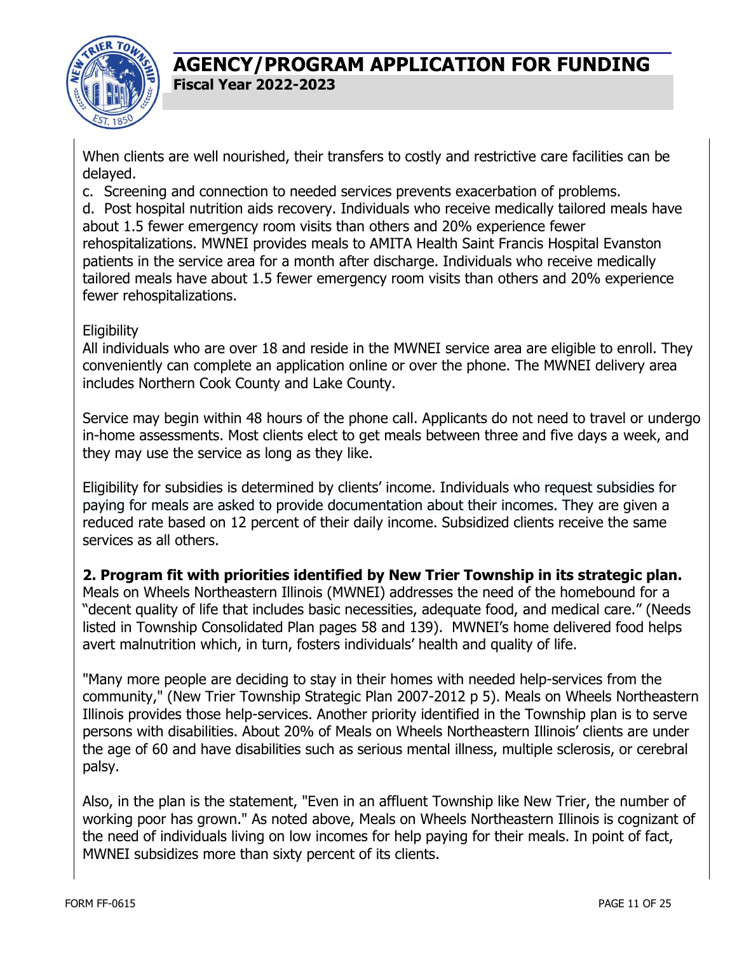

When clients are well nourished, their transfers to costly and restrictive care facilities can be delayed.

c. Screening and connection to needed services prevents exacerbation of problems.

d. Post hospital nutrition aids recovery. Individuals who receive medically tailored meals have about 1.5 fewer emergency room visits than others and 20% experience fewer rehospitalizations. MWNEI provides meals to AMITA Health Saint Francis Hospital Evanston patients in the service area for a month after discharge. Individuals who receive medically tailored meals have about 1.5 fewer emergency room visits than others and 20% experience fewer rehospitalizations.

#### **Eligibility**

All individuals who are over 18 and reside in the MWNEI service area are eligible to enroll. They conveniently can complete an application online or over the phone. The MWNEI delivery area includes Northern Cook County and Lake County.

Service may begin within 48 hours of the phone call. Applicants do not need to travel or undergo in-home assessments. Most clients elect to get meals between three and five days a week, and they may use the service as long as they like.

Eligibility for subsidies is determined by clients' income. Individuals who request subsidies for paying for meals are asked to provide documentation about their incomes. They are given a reduced rate based on 12 percent of their daily income. Subsidized clients receive the same services as all others.

**2. Program fit with priorities identified by New Trier Township in its strategic plan.** Meals on Wheels Northeastern Illinois (MWNEI) addresses the need of the homebound for a "decent quality of life that includes basic necessities, adequate food, and medical care." (Needs listed in Township Consolidated Plan pages 58 and 139). MWNEI's home delivered food helps avert malnutrition which, in turn, fosters individuals' health and quality of life.

"Many more people are deciding to stay in their homes with needed help-services from the community," (New Trier Township Strategic Plan 2007-2012 p 5). Meals on Wheels Northeastern Illinois provides those help-services. Another priority identified in the Township plan is to serve persons with disabilities. About 20% of Meals on Wheels Northeastern Illinois' clients are under the age of 60 and have disabilities such as serious mental illness, multiple sclerosis, or cerebral palsy.

Also, in the plan is the statement, "Even in an affluent Township like New Trier, the number of working poor has grown." As noted above, Meals on Wheels Northeastern Illinois is cognizant of the need of individuals living on low incomes for help paying for their meals. In point of fact, MWNEI subsidizes more than sixty percent of its clients.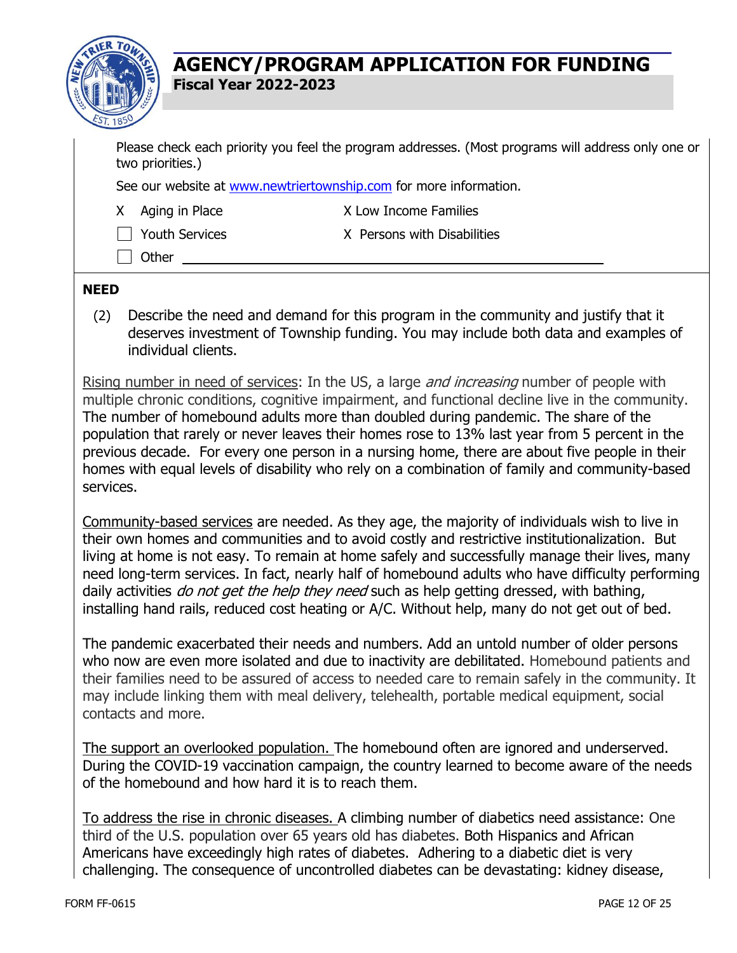

Please check each priority you feel the program addresses. (Most programs will address only one or two priorities.)

See our website at [www.newtriertownship.com](http://www.newtriertownship.com/) for more information.

X Aging in Place X Low Income Families

 $\Box$  Youth Services  $\Box$  X Persons with Disabilities

□ Other

#### **NEED**

(2) Describe the need and demand for this program in the community and justify that it deserves investment of Township funding. You may include both data and examples of individual clients.

Rising number in need of services: In the US, a large *and increasing* number of people with multiple chronic conditions, cognitive impairment, and functional decline live in the community. The number of homebound adults more than doubled during pandemic. The share of the population that rarely or never leaves their homes rose to 13% last year from 5 percent in the previous decade. For every one person in a nursing home, there are about five people in their homes with equal levels of disability who rely on a combination of family and community-based services.

Community-based services are needed. As they age, the majority of individuals wish to live in their own homes and communities and to avoid costly and restrictive institutionalization. But living at home is not easy. To remain at home safely and successfully manage their lives, many need long-term services. In fact, nearly half of homebound adults who have difficulty performing daily activities do not get the help they need such as help getting dressed, with bathing, installing hand rails, reduced cost heating or A/C. Without help, many do not get out of bed.

The pandemic exacerbated their needs and numbers. Add an untold number of older persons who now are even more isolated and due to inactivity are debilitated. Homebound patients and their families need to be assured of access to needed care to remain safely in the community. It may include linking them with meal delivery, telehealth, portable medical equipment, social contacts and more.

The support an overlooked population. The homebound often are ignored and underserved. During the COVID-19 vaccination campaign, the country learned to become aware of the needs of the homebound and how hard it is to reach them.

To address the rise in chronic diseases. A climbing number of diabetics need assistance: One third of the U.S. population over 65 years old has diabetes. Both Hispanics and African Americans have exceedingly high rates of diabetes. Adhering to a diabetic diet is very challenging. The consequence of uncontrolled diabetes can be devastating: kidney disease,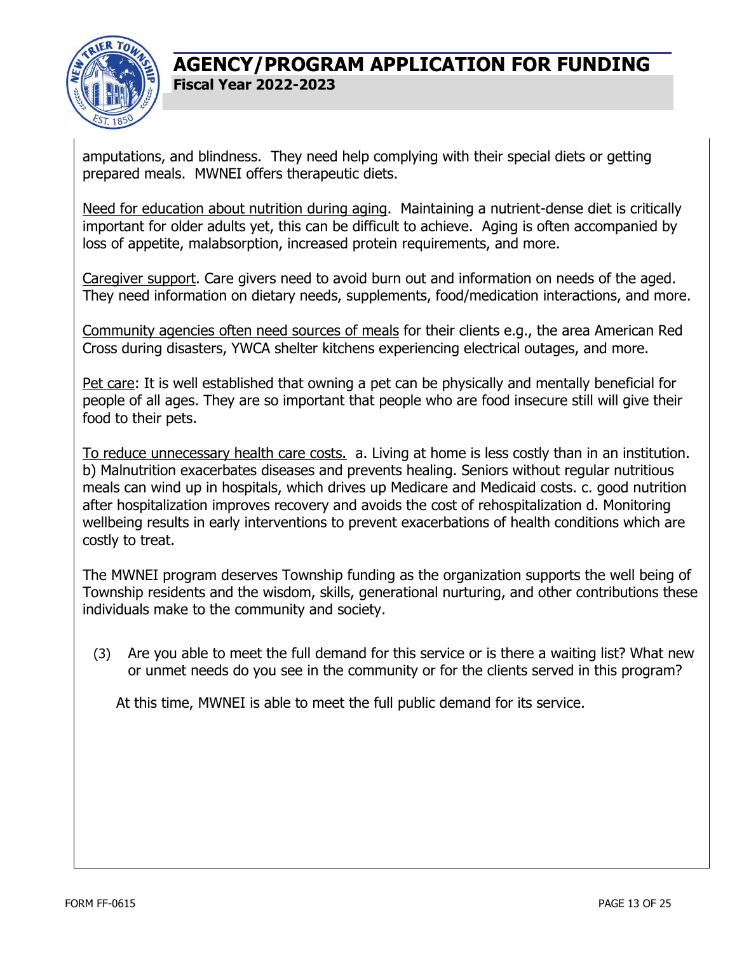

amputations, and blindness. They need help complying with their special diets or getting prepared meals. MWNEI offers therapeutic diets.

Need for education about nutrition during aging. Maintaining a nutrient-dense diet is critically important for older adults yet, this can be difficult to achieve. Aging is often accompanied by loss of appetite, malabsorption, increased protein requirements, and more.

Caregiver support. Care givers need to avoid burn out and information on needs of the aged. They need information on dietary needs, supplements, food/medication interactions, and more.

Community agencies often need sources of meals for their clients e.g., the area American Red Cross during disasters, YWCA shelter kitchens experiencing electrical outages, and more.

Pet care: It is well established that owning a pet can be physically and mentally beneficial for people of all ages. They are so important that people who are food insecure still will give their food to their pets.

To reduce unnecessary health care costs. a. Living at home is less costly than in an institution. b) Malnutrition exacerbates diseases and prevents healing. Seniors without regular nutritious meals can wind up in hospitals, which drives up [Medicare and Medicaid](https://www.ncbi.nlm.nih.gov/pubmed/28608473) costs. c. good nutrition after hospitalization improves recovery and avoids the cost of rehospitalization d. Monitoring wellbeing results in early interventions to prevent exacerbations of health conditions which are costly to treat.

The MWNEI program deserves Township funding as the organization supports the well being of Township residents and the wisdom, skills, generational nurturing, and other contributions these individuals make to the community and society.

(3) Are you able to meet the full demand for this service or is there a waiting list? What new or unmet needs do you see in the community or for the clients served in this program?

At this time, MWNEI is able to meet the full public demand for its service.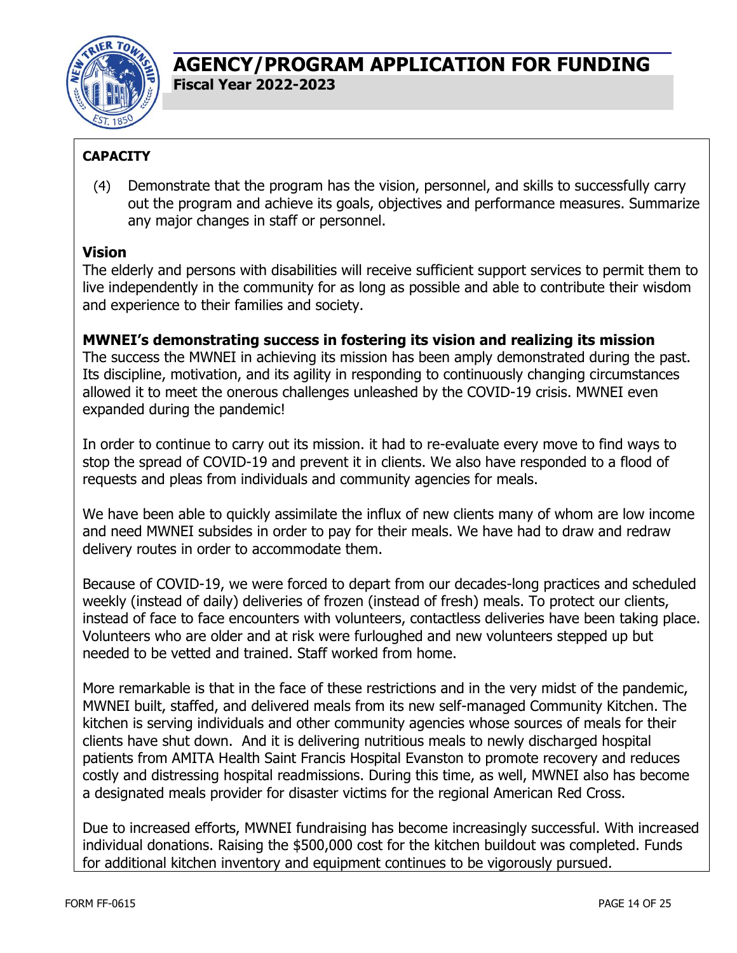

### **CAPACITY**

(4) Demonstrate that the program has the vision, personnel, and skills to successfully carry out the program and achieve its goals, objectives and performance measures. Summarize any major changes in staff or personnel.

### **Vision**

The elderly and persons with disabilities will receive sufficient support services to permit them to live independently in the community for as long as possible and able to contribute their wisdom and experience to their families and society.

#### **MWNEI's demonstrating success in fostering its vision and realizing its mission**

The success the MWNEI in achieving its mission has been amply demonstrated during the past. Its discipline, motivation, and its agility in responding to continuously changing circumstances allowed it to meet the onerous challenges unleashed by the COVID-19 crisis. MWNEI even expanded during the pandemic!

In order to continue to carry out its mission. it had to re-evaluate every move to find ways to stop the spread of COVID-19 and prevent it in clients. We also have responded to a flood of requests and pleas from individuals and community agencies for meals.

We have been able to quickly assimilate the influx of new clients many of whom are low income and need MWNEI subsides in order to pay for their meals. We have had to draw and redraw delivery routes in order to accommodate them.

Because of COVID-19, we were forced to depart from our decades-long practices and scheduled weekly (instead of daily) deliveries of frozen (instead of fresh) meals. To protect our clients, instead of face to face encounters with volunteers, contactless deliveries have been taking place. Volunteers who are older and at risk were furloughed and new volunteers stepped up but needed to be vetted and trained. Staff worked from home.

More remarkable is that in the face of these restrictions and in the very midst of the pandemic, MWNEI built, staffed, and delivered meals from its new self-managed Community Kitchen. The kitchen is serving individuals and other community agencies whose sources of meals for their clients have shut down. And it is delivering nutritious meals to newly discharged hospital patients from AMITA Health Saint Francis Hospital Evanston to promote recovery and reduces costly and distressing hospital readmissions. During this time, as well, MWNEI also has become a designated meals provider for disaster victims for the regional American Red Cross.

Due to increased efforts, MWNEI fundraising has become increasingly successful. With increased individual donations. Raising the \$500,000 cost for the kitchen buildout was completed. Funds for additional kitchen inventory and equipment continues to be vigorously pursued.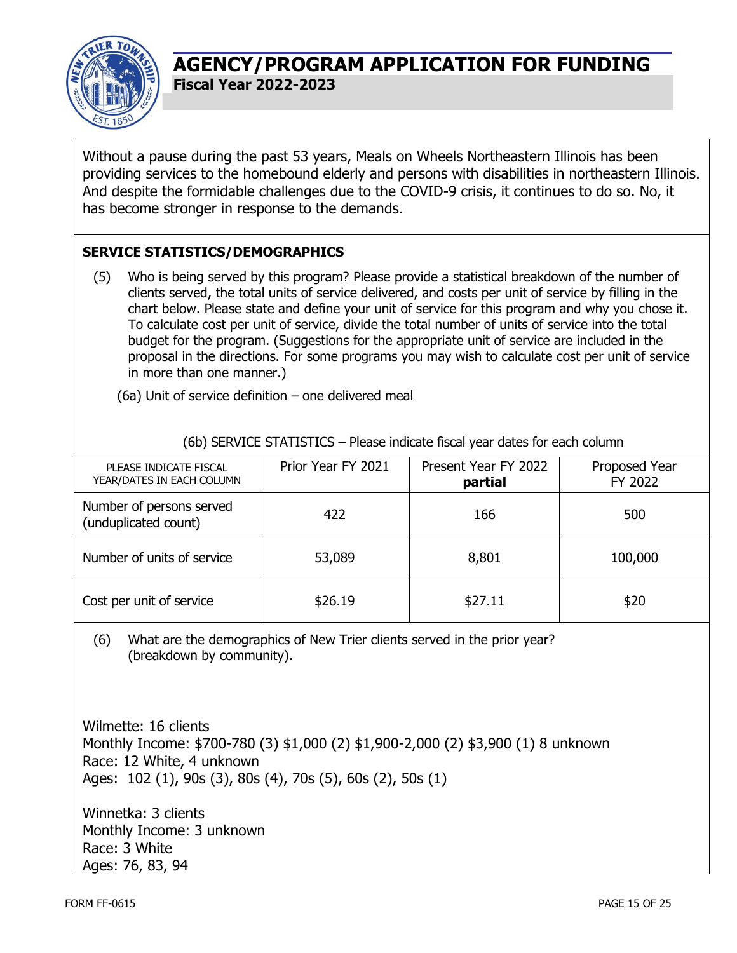

Without a pause during the past 53 years, Meals on Wheels Northeastern Illinois has been providing services to the homebound elderly and persons with disabilities in northeastern Illinois. And despite the formidable challenges due to the COVID-9 crisis, it continues to do so. No, it has become stronger in response to the demands.

#### **SERVICE STATISTICS/DEMOGRAPHICS**

(5) Who is being served by this program? Please provide a statistical breakdown of the number of clients served, the total units of service delivered, and costs per unit of service by filling in the chart below. Please state and define your unit of service for this program and why you chose it. To calculate cost per unit of service, divide the total number of units of service into the total budget for the program. (Suggestions for the appropriate unit of service are included in the proposal in the directions. For some programs you may wish to calculate cost per unit of service in more than one manner.)

(6a) Unit of service definition – one delivered meal

|  | (6b) SERVICE STATISTICS - Please indicate fiscal year dates for each column |  |  |  |
|--|-----------------------------------------------------------------------------|--|--|--|

| PLEASE INDICATE FISCAL<br>YEAR/DATES IN EACH COLUMN | Prior Year FY 2021 | Present Year FY 2022<br>partial | Proposed Year<br>FY 2022 |
|-----------------------------------------------------|--------------------|---------------------------------|--------------------------|
| Number of persons served<br>(unduplicated count)    | 422                | 166                             | 500                      |
| Number of units of service                          | 53,089             | 8,801                           | 100,000                  |
| Cost per unit of service                            | \$26.19            | \$27.11                         | \$20                     |

(6) What are the demographics of New Trier clients served in the prior year? (breakdown by community).

Wilmette: 16 clients Monthly Income: \$700-780 (3) \$1,000 (2) \$1,900-2,000 (2) \$3,900 (1) 8 unknown Race: 12 White, 4 unknown Ages: 102 (1), 90s (3), 80s (4), 70s (5), 60s (2), 50s (1)

Winnetka: 3 clients Monthly Income: 3 unknown Race: 3 White Ages: 76, 83, 94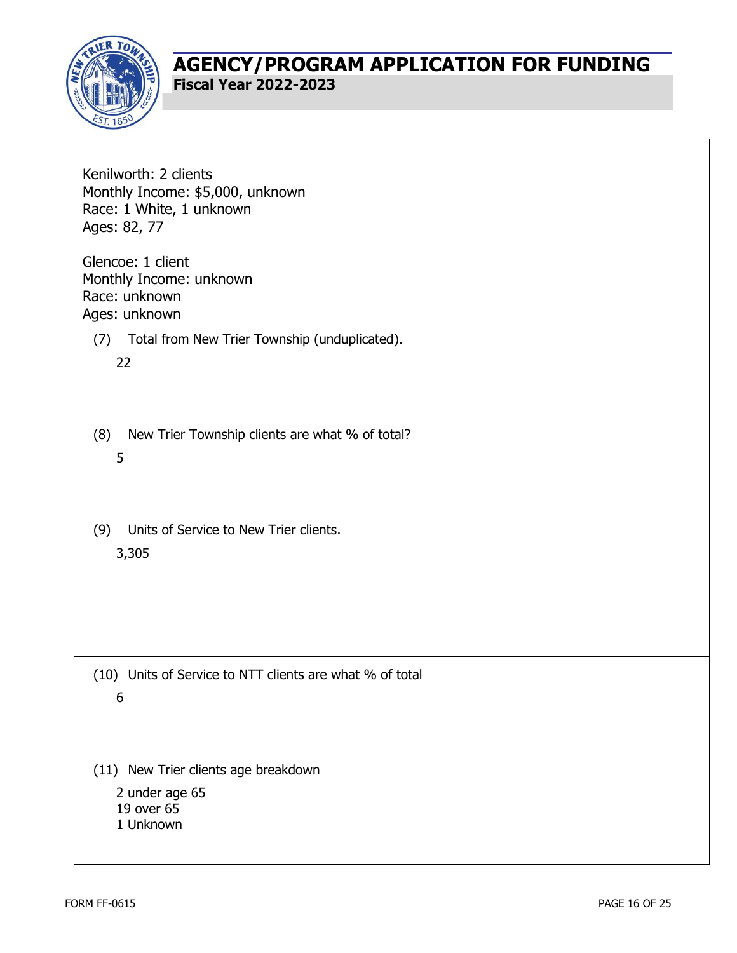

| Kenilworth: 2 clients<br>Monthly Income: \$5,000, unknown<br>Race: 1 White, 1 unknown<br>Ages: 82, 77 |
|-------------------------------------------------------------------------------------------------------|
| Glencoe: 1 client<br>Monthly Income: unknown<br>Race: unknown<br>Ages: unknown                        |
| Total from New Trier Township (unduplicated).<br>(7)<br>22                                            |
| New Trier Township clients are what % of total?<br>(8)<br>5                                           |
| Units of Service to New Trier clients.<br>(9)<br>3,305                                                |
|                                                                                                       |
| (10) Units of Service to NTT clients are what % of total<br>6                                         |
| (11) New Trier clients age breakdown<br>2 under age 65<br>19 over 65<br>1 Unknown                     |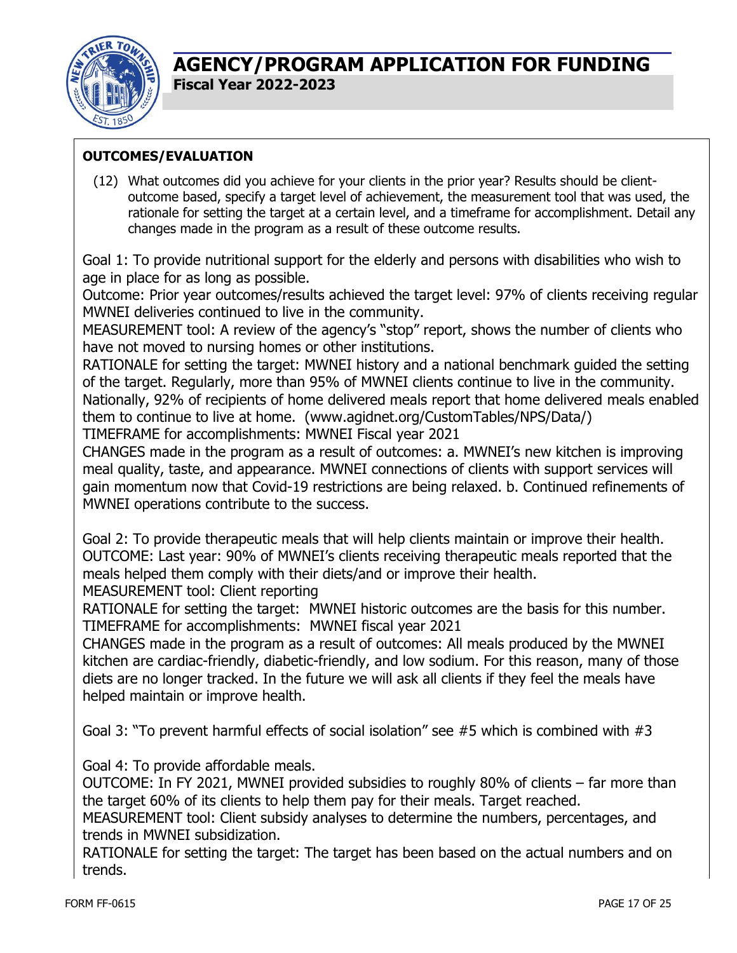

#### **OUTCOMES/EVALUATION**

(12) What outcomes did you achieve for your clients in the prior year? Results should be clientoutcome based, specify a target level of achievement, the measurement tool that was used, the rationale for setting the target at a certain level, and a timeframe for accomplishment. Detail any changes made in the program as a result of these outcome results.

Goal 1: To provide nutritional support for the elderly and persons with disabilities who wish to age in place for as long as possible.

Outcome: Prior year outcomes/results achieved the target level: 97% of clients receiving regular MWNEI deliveries continued to live in the community.

MEASUREMENT tool: A review of the agency's "stop" report, shows the number of clients who have not moved to nursing homes or other institutions.

RATIONALE for setting the target: MWNEI history and a national benchmark guided the setting of the target. Regularly, more than 95% of MWNEI clients continue to live in the community. Nationally, 92% of recipients of home delivered meals report that home delivered meals enabled them to continue to live at home. (www.agidnet.org/CustomTables/NPS/Data/) TIMEFRAME for accomplishments: MWNEI Fiscal year 2021

CHANGES made in the program as a result of outcomes: a. MWNEI's new kitchen is improving meal quality, taste, and appearance. MWNEI connections of clients with support services will gain momentum now that Covid-19 restrictions are being relaxed. b. Continued refinements of MWNEI operations contribute to the success.

Goal 2: To provide therapeutic meals that will help clients maintain or improve their health. OUTCOME: Last year: 90% of MWNEI's clients receiving therapeutic meals reported that the meals helped them comply with their diets/and or improve their health. MEASUREMENT tool: Client reporting

RATIONALE for setting the target: MWNEI historic outcomes are the basis for this number. TIMEFRAME for accomplishments: MWNEI fiscal year 2021

CHANGES made in the program as a result of outcomes: All meals produced by the MWNEI kitchen are cardiac-friendly, diabetic-friendly, and low sodium. For this reason, many of those diets are no longer tracked. In the future we will ask all clients if they feel the meals have helped maintain or improve health.

Goal 3: "To prevent harmful effects of social isolation" see #5 which is combined with #3

Goal 4: To provide affordable meals.

OUTCOME: In FY 2021, MWNEI provided subsidies to roughly 80% of clients – far more than the target 60% of its clients to help them pay for their meals. Target reached.

MEASUREMENT tool: Client subsidy analyses to determine the numbers, percentages, and trends in MWNEI subsidization.

RATIONALE for setting the target: The target has been based on the actual numbers and on trends.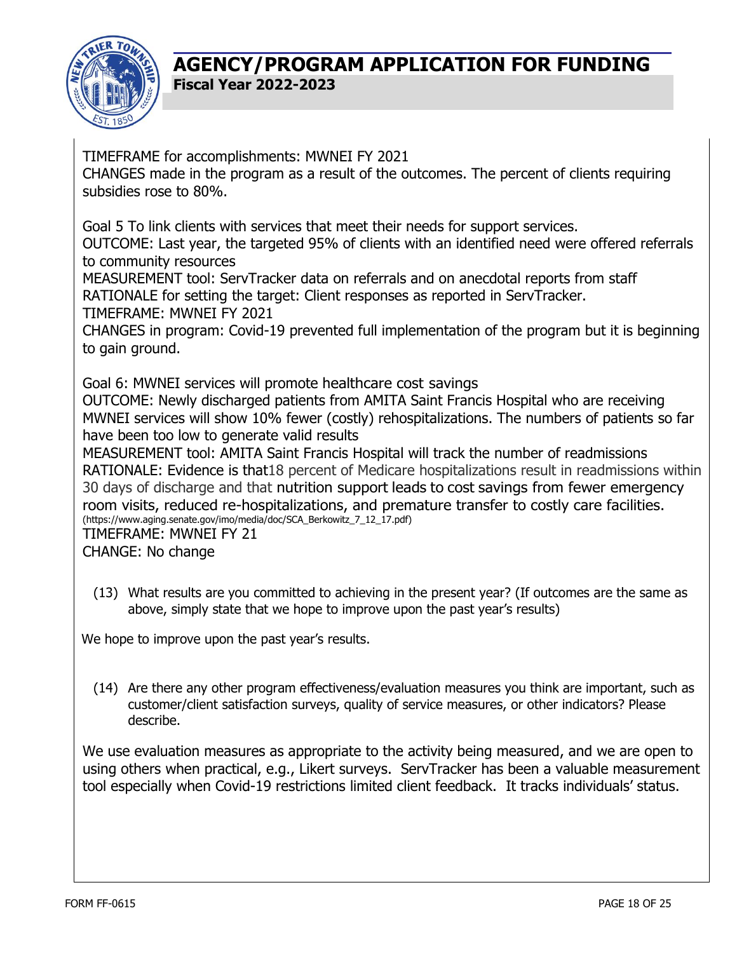

TIMEFRAME for accomplishments: MWNEI FY 2021

CHANGES made in the program as a result of the outcomes. The percent of clients requiring subsidies rose to 80%.

Goal 5 To link clients with services that meet their needs for support services.

OUTCOME: Last year, the targeted 95% of clients with an identified need were offered referrals to community resources

MEASUREMENT tool: ServTracker data on referrals and on anecdotal reports from staff RATIONALE for setting the target: Client responses as reported in ServTracker. TIMEFRAME: MWNEI FY 2021

CHANGES in program: Covid-19 prevented full implementation of the program but it is beginning to gain ground.

Goal 6: MWNEI services will promote healthcare cost savings

OUTCOME: Newly discharged patients from AMITA Saint Francis Hospital who are receiving MWNEI services will show 10% fewer (costly) rehospitalizations. The numbers of patients so far have been too low to generate valid results

MEASUREMENT tool: AMITA Saint Francis Hospital will track the number of readmissions RATIONALE: Evidence is that18 percent of Medicare hospitalizations result in readmissions within 30 days of discharge and that nutrition support leads to cost savings from fewer emergency room visits, reduced re-hospitalizations, and premature transfer to costly care facilities. (https://www.aging.senate.gov/imo/media/doc/SCA\_Berkowitz\_7\_12\_17.pdf)

TIMEFRAME: MWNEI FY 21 CHANGE: No change

(13) What results are you committed to achieving in the present year? (If outcomes are the same as above, simply state that we hope to improve upon the past year's results)

We hope to improve upon the past year's results.

(14) Are there any other program effectiveness/evaluation measures you think are important, such as customer/client satisfaction surveys, quality of service measures, or other indicators? Please describe.

We use evaluation measures as appropriate to the activity being measured, and we are open to using others when practical, e.g., Likert surveys. ServTracker has been a valuable measurement tool especially when Covid-19 restrictions limited client feedback. It tracks individuals' status.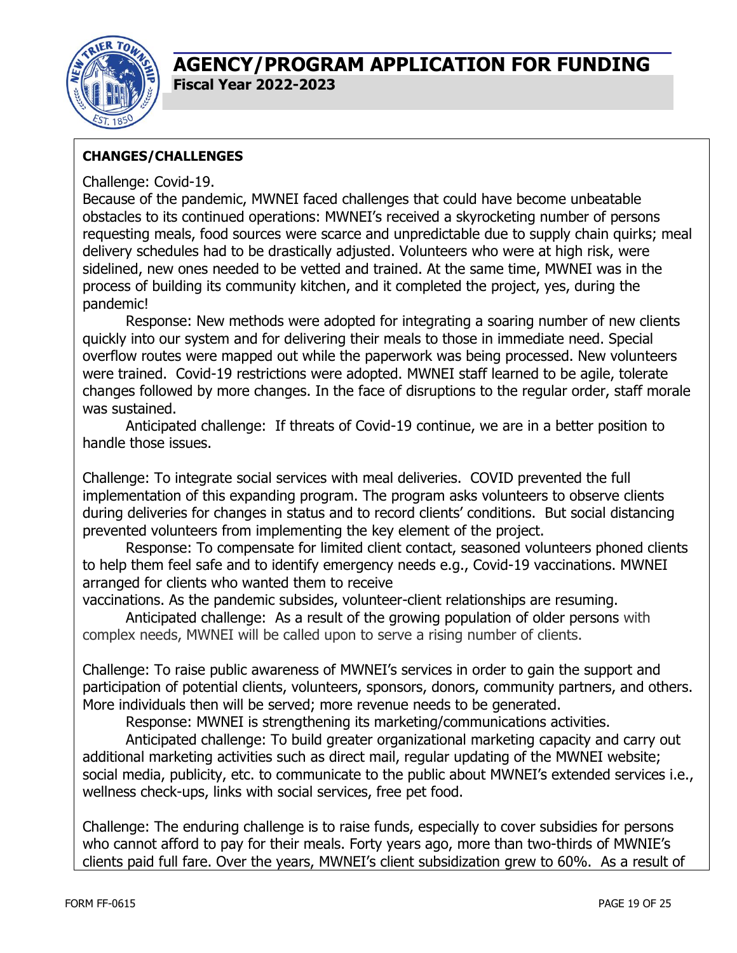

### **CHANGES/CHALLENGES**

#### Challenge: Covid-19.

Because of the pandemic, MWNEI faced challenges that could have become unbeatable obstacles to its continued operations: MWNEI's received a skyrocketing number of persons requesting meals, food sources were scarce and unpredictable due to supply chain quirks; meal delivery schedules had to be drastically adjusted. Volunteers who were at high risk, were sidelined, new ones needed to be vetted and trained. At the same time, MWNEI was in the process of building its community kitchen, and it completed the project, yes, during the pandemic!

Response: New methods were adopted for integrating a soaring number of new clients quickly into our system and for delivering their meals to those in immediate need. Special overflow routes were mapped out while the paperwork was being processed. New volunteers were trained. Covid-19 restrictions were adopted. MWNEI staff learned to be agile, tolerate changes followed by more changes. In the face of disruptions to the regular order, staff morale was sustained.

Anticipated challenge: If threats of Covid-19 continue, we are in a better position to handle those issues.

Challenge: To integrate social services with meal deliveries. COVID prevented the full implementation of this expanding program. The program asks volunteers to observe clients during deliveries for changes in status and to record clients' conditions. But social distancing prevented volunteers from implementing the key element of the project.

Response: To compensate for limited client contact, seasoned volunteers phoned clients to help them feel safe and to identify emergency needs e.g., Covid-19 vaccinations. MWNEI arranged for clients who wanted them to receive

vaccinations. As the pandemic subsides, volunteer-client relationships are resuming.

Anticipated challenge: As a result of the growing population of older persons with complex needs, MWNEI will be called upon to serve a rising number of clients.

Challenge: To raise public awareness of MWNEI's services in order to gain the support and participation of potential clients, volunteers, sponsors, donors, community partners, and others. More individuals then will be served; more revenue needs to be generated.

Response: MWNEI is strengthening its marketing/communications activities.

Anticipated challenge: To build greater organizational marketing capacity and carry out additional marketing activities such as direct mail, regular updating of the MWNEI website; social media, publicity, etc. to communicate to the public about MWNEI's extended services i.e., wellness check-ups, links with social services, free pet food.

Challenge: The enduring challenge is to raise funds, especially to cover subsidies for persons who cannot afford to pay for their meals. Forty years ago, more than two-thirds of MWNIE's clients paid full fare. Over the years, MWNEI's client subsidization grew to 60%. As a result of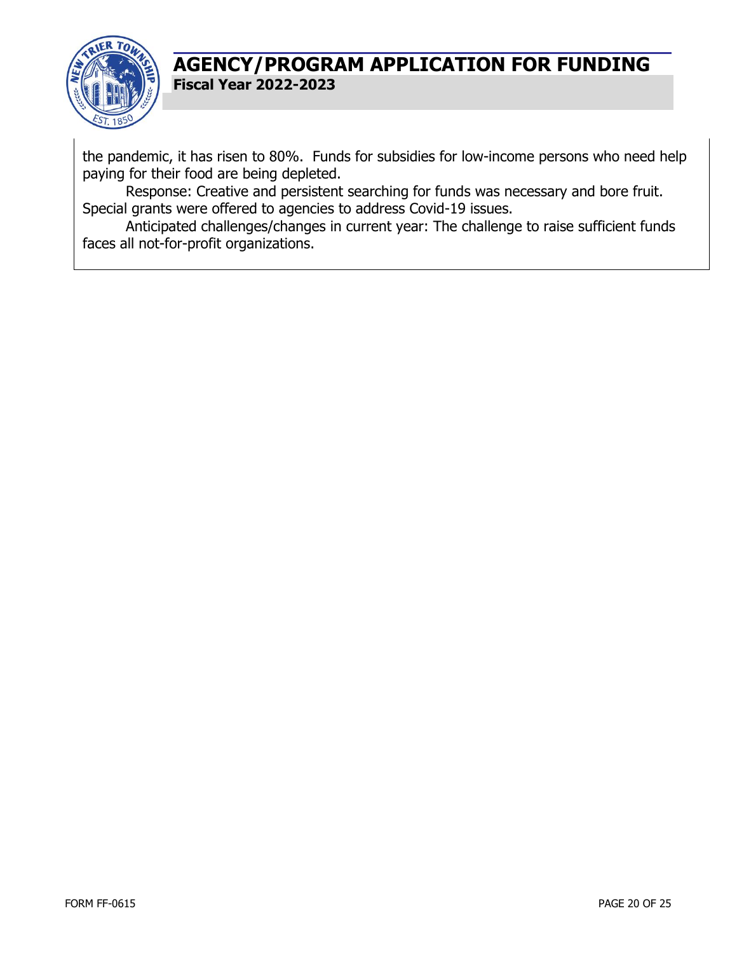

the pandemic, it has risen to 80%. Funds for subsidies for low-income persons who need help paying for their food are being depleted.

Response: Creative and persistent searching for funds was necessary and bore fruit. Special grants were offered to agencies to address Covid-19 issues.

Anticipated challenges/changes in current year: The challenge to raise sufficient funds faces all not-for-profit organizations.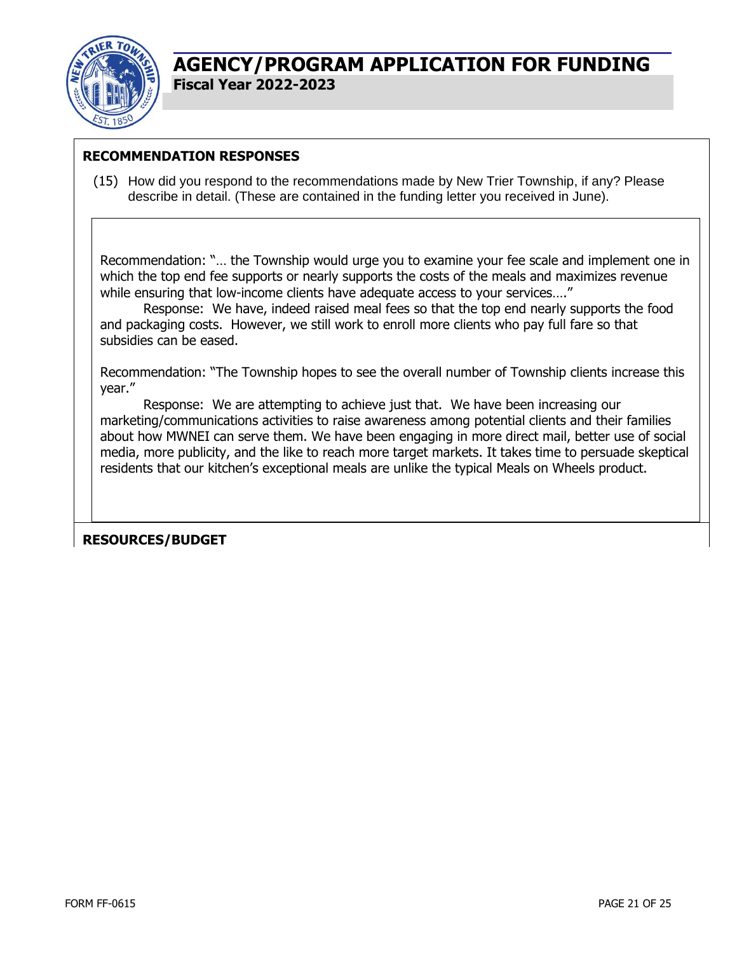

#### **RECOMMENDATION RESPONSES**

(15) How did you respond to the recommendations made by New Trier Township, if any? Please describe in detail. (These are contained in the funding letter you received in June).

Recommendation: "… the Township would urge you to examine your fee scale and implement one in which the top end fee supports or nearly supports the costs of the meals and maximizes revenue while ensuring that low-income clients have adequate access to your services...."

Response: We have, indeed raised meal fees so that the top end nearly supports the food and packaging costs. However, we still work to enroll more clients who pay full fare so that subsidies can be eased.

Recommendation: "The Township hopes to see the overall number of Township clients increase this year."

Response: We are attempting to achieve just that. We have been increasing our marketing/communications activities to raise awareness among potential clients and their families about how MWNEI can serve them. We have been engaging in more direct mail, better use of social media, more publicity, and the like to reach more target markets. It takes time to persuade skeptical residents that our kitchen's exceptional meals are unlike the typical Meals on Wheels product.

**RESOURCES/BUDGET**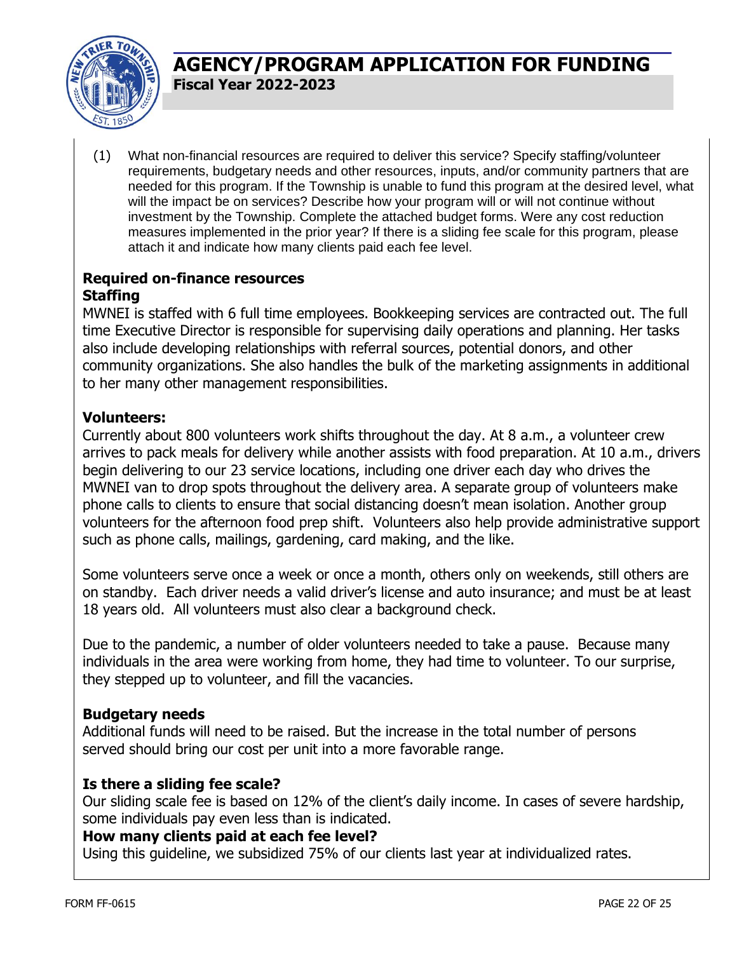

(1) What non-financial resources are required to deliver this service? Specify staffing/volunteer requirements, budgetary needs and other resources, inputs, and/or community partners that are needed for this program. If the Township is unable to fund this program at the desired level, what will the impact be on services? Describe how your program will or will not continue without investment by the Township. Complete the attached budget forms. Were any cost reduction measures implemented in the prior year? If there is a sliding fee scale for this program, please attach it and indicate how many clients paid each fee level.

### **Required on-finance resources Staffing**

MWNEI is staffed with 6 full time employees. Bookkeeping services are contracted out. The full time Executive Director is responsible for supervising daily operations and planning. Her tasks also include developing relationships with referral sources, potential donors, and other community organizations. She also handles the bulk of the marketing assignments in additional to her many other management responsibilities.

#### **Volunteers:**

Currently about 800 volunteers work shifts throughout the day. At 8 a.m., a volunteer crew arrives to pack meals for delivery while another assists with food preparation. At 10 a.m., drivers begin delivering to our 23 service locations, including one driver each day who drives the MWNEI van to drop spots throughout the delivery area. A separate group of volunteers make phone calls to clients to ensure that social distancing doesn't mean isolation. Another group volunteers for the afternoon food prep shift. Volunteers also help provide administrative support such as phone calls, mailings, gardening, card making, and the like.

Some volunteers serve once a week or once a month, others only on weekends, still others are on standby. Each driver needs a valid driver's license and auto insurance; and must be at least 18 years old. All volunteers must also clear a background check.

Due to the pandemic, a number of older volunteers needed to take a pause. Because many individuals in the area were working from home, they had time to volunteer. To our surprise, they stepped up to volunteer, and fill the vacancies.

### **Budgetary needs**

Additional funds will need to be raised. But the increase in the total number of persons served should bring our cost per unit into a more favorable range.

#### **Is there a sliding fee scale?**

Our sliding scale fee is based on 12% of the client's daily income. In cases of severe hardship, some individuals pay even less than is indicated.

#### **How many clients paid at each fee level?**

Using this guideline, we subsidized 75% of our clients last year at individualized rates.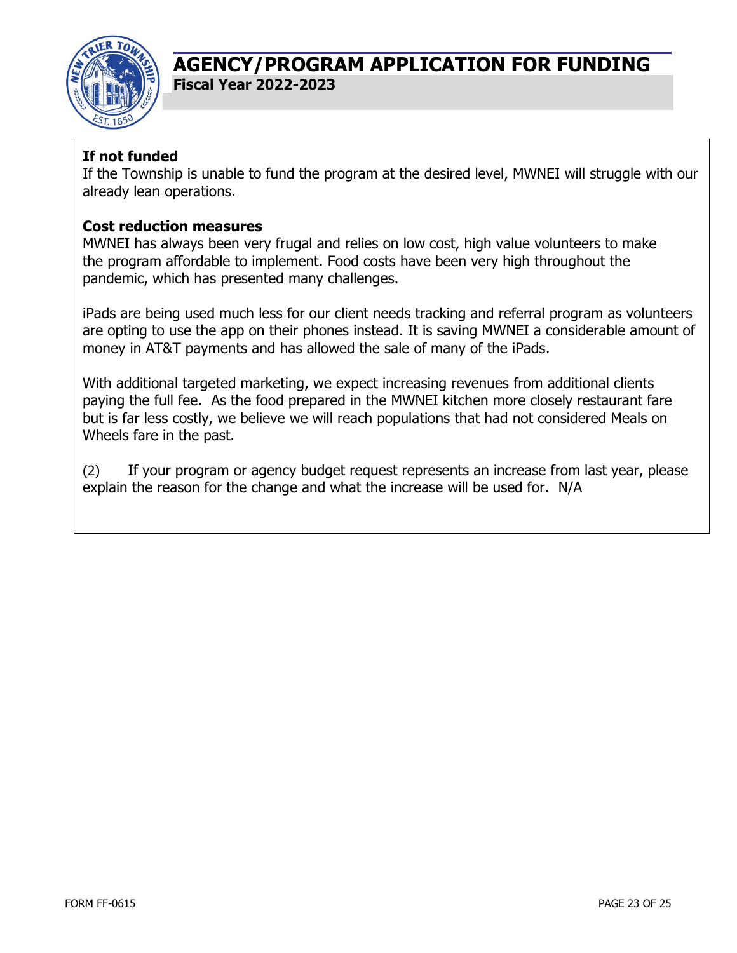

### **If not funded**

If the Township is unable to fund the program at the desired level, MWNEI will struggle with our already lean operations.

#### **Cost reduction measures**

MWNEI has always been very frugal and relies on low cost, high value volunteers to make the program affordable to implement. Food costs have been very high throughout the pandemic, which has presented many challenges.

iPads are being used much less for our client needs tracking and referral program as volunteers are opting to use the app on their phones instead. It is saving MWNEI a considerable amount of money in AT&T payments and has allowed the sale of many of the iPads.

With additional targeted marketing, we expect increasing revenues from additional clients paying the full fee. As the food prepared in the MWNEI kitchen more closely restaurant fare but is far less costly, we believe we will reach populations that had not considered Meals on Wheels fare in the past.

(2) If your program or agency budget request represents an increase from last year, please explain the reason for the change and what the increase will be used for. N/A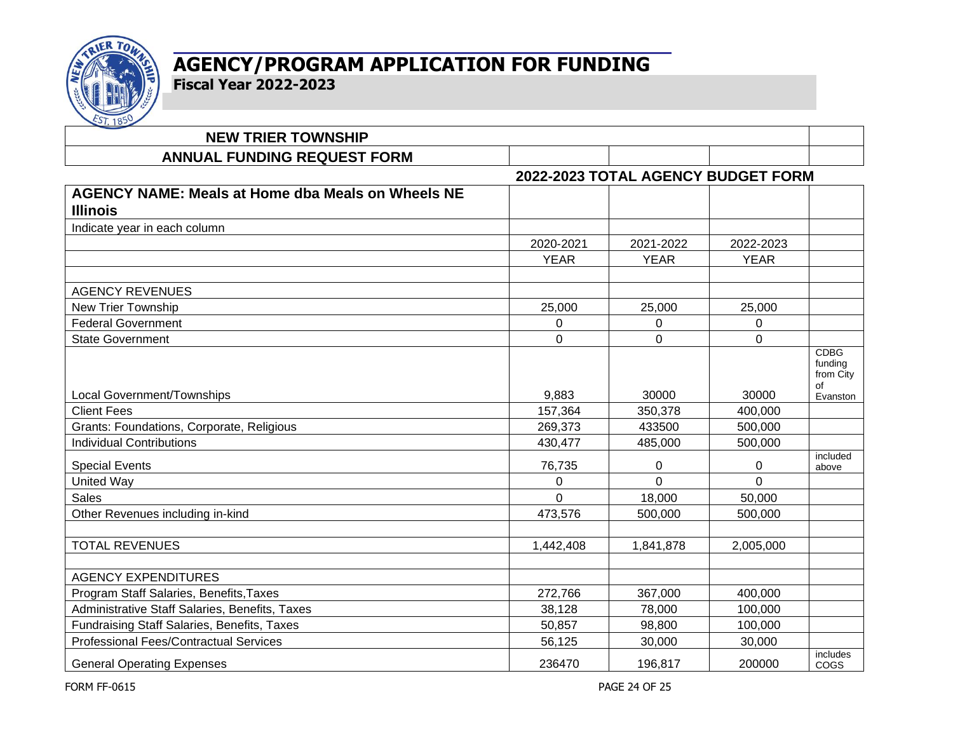

# **AGENCY/PROGRAM APPLICATION FOR FUNDING**

**Fiscal Year 2022-2023**

| $\sim$ $\sim$ $\sim$<br><b>NEW TRIER TOWNSHIP</b>                           |             |                                    |             |                                           |
|-----------------------------------------------------------------------------|-------------|------------------------------------|-------------|-------------------------------------------|
| <b>ANNUAL FUNDING REQUEST FORM</b>                                          |             |                                    |             |                                           |
|                                                                             |             | 2022-2023 TOTAL AGENCY BUDGET FORM |             |                                           |
| <b>AGENCY NAME: Meals at Home dba Meals on Wheels NE</b><br><b>Illinois</b> |             |                                    |             |                                           |
| Indicate year in each column                                                |             |                                    |             |                                           |
|                                                                             | 2020-2021   | 2021-2022                          | 2022-2023   |                                           |
|                                                                             | <b>YEAR</b> | <b>YEAR</b>                        | <b>YEAR</b> |                                           |
| <b>AGENCY REVENUES</b>                                                      |             |                                    |             |                                           |
| <b>New Trier Township</b>                                                   | 25,000      | 25,000                             | 25,000      |                                           |
| <b>Federal Government</b>                                                   | 0           | 0                                  | 0           |                                           |
| <b>State Government</b>                                                     | $\Omega$    | $\Omega$                           | $\Omega$    |                                           |
|                                                                             |             |                                    |             | <b>CDBG</b><br>funding<br>from City<br>of |
| Local Government/Townships                                                  | 9,883       | 30000                              | 30000       | Evanston                                  |
| <b>Client Fees</b>                                                          | 157,364     | 350,378                            | 400,000     |                                           |
| Grants: Foundations, Corporate, Religious                                   | 269,373     | 433500                             | 500,000     |                                           |
| <b>Individual Contributions</b>                                             | 430,477     | 485,000                            | 500,000     |                                           |
| <b>Special Events</b>                                                       | 76,735      | 0                                  | $\mathbf 0$ | included<br>above                         |
| <b>United Way</b>                                                           | 0           | 0                                  | $\Omega$    |                                           |
| <b>Sales</b>                                                                | $\Omega$    | 18,000                             | 50,000      |                                           |
| Other Revenues including in-kind                                            | 473,576     | 500,000                            | 500,000     |                                           |
|                                                                             |             |                                    |             |                                           |
| <b>TOTAL REVENUES</b>                                                       | 1,442,408   | 1,841,878                          | 2,005,000   |                                           |
| <b>AGENCY EXPENDITURES</b>                                                  |             |                                    |             |                                           |
| Program Staff Salaries, Benefits, Taxes                                     | 272,766     | 367,000                            | 400,000     |                                           |
| Administrative Staff Salaries, Benefits, Taxes                              | 38,128      | 78,000                             | 100,000     |                                           |
| Fundraising Staff Salaries, Benefits, Taxes                                 | 50,857      | 98,800                             | 100,000     |                                           |
| <b>Professional Fees/Contractual Services</b>                               | 56,125      | 30,000                             | 30,000      |                                           |
| <b>General Operating Expenses</b>                                           | 236470      | 196,817                            | 200000      | includes<br>COGS                          |